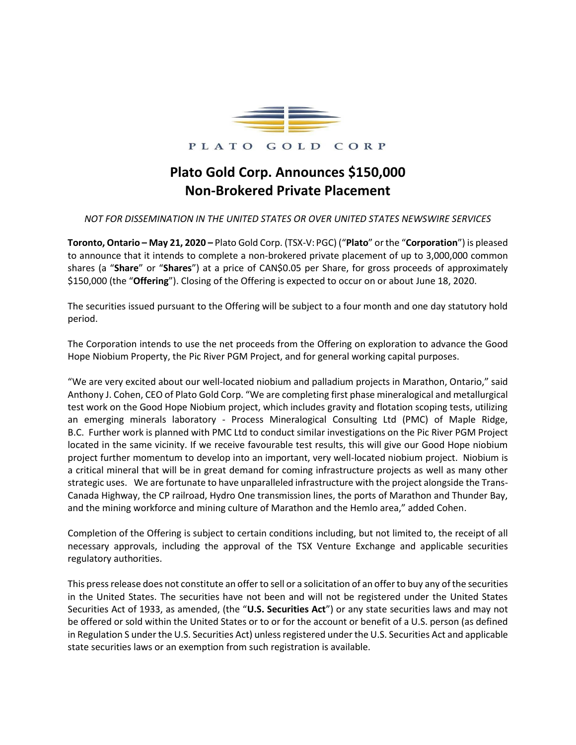

PLATO GOLD CORP

## **Plato Gold Corp. Announces \$150,000 Non-Brokered Private Placement**

## *NOT FOR DISSEMINATION IN THE UNITED STATES OR OVER UNITED STATES NEWSWIRE SERVICES*

**Toronto, Ontario – May 21, 2020 –** Plato Gold Corp. (TSX-V: PGC) ("**Plato**" or the "**Corporation**") is pleased to announce that it intends to complete a non-brokered private placement of up to 3,000,000 common shares (a "**Share**" or "**Shares**") at a price of CAN\$0.05 per Share, for gross proceeds of approximately \$150,000 (the "**Offering**"). Closing of the Offering is expected to occur on or about June 18, 2020.

The securities issued pursuant to the Offering will be subject to a four month and one day statutory hold period.

The Corporation intends to use the net proceeds from the Offering on exploration to advance the Good Hope Niobium Property, the Pic River PGM Project, and for general working capital purposes.

"We are very excited about our well-located niobium and palladium projects in Marathon, Ontario," said Anthony J. Cohen, CEO of Plato Gold Corp. "We are completing first phase mineralogical and metallurgical test work on the Good Hope Niobium project, which includes gravity and flotation scoping tests, utilizing an emerging minerals laboratory - Process Mineralogical Consulting Ltd (PMC) of Maple Ridge, B.C. Further work is planned with PMC Ltd to conduct similar investigations on the Pic River PGM Project located in the same vicinity. If we receive favourable test results, this will give our Good Hope niobium project further momentum to develop into an important, very well-located niobium project. Niobium is a critical mineral that will be in great demand for coming infrastructure projects as well as many other strategic uses. We are fortunate to have unparalleled infrastructure with the project alongside the Trans-Canada Highway, the CP railroad, Hydro One transmission lines, the ports of Marathon and Thunder Bay, and the mining workforce and mining culture of Marathon and the Hemlo area," added Cohen.

Completion of the Offering is subject to certain conditions including, but not limited to, the receipt of all necessary approvals, including the approval of the TSX Venture Exchange and applicable securities regulatory authorities.

This press release does not constitute an offer to sell or a solicitation of an offer to buy any of the securities in the United States. The securities have not been and will not be registered under the United States Securities Act of 1933, as amended, (the "**U.S. Securities Act**") or any state securities laws and may not be offered or sold within the United States or to or for the account or benefit of a U.S. person (as defined in Regulation S under the U.S. Securities Act) unless registered under the U.S. Securities Act and applicable state securities laws or an exemption from such registration is available.